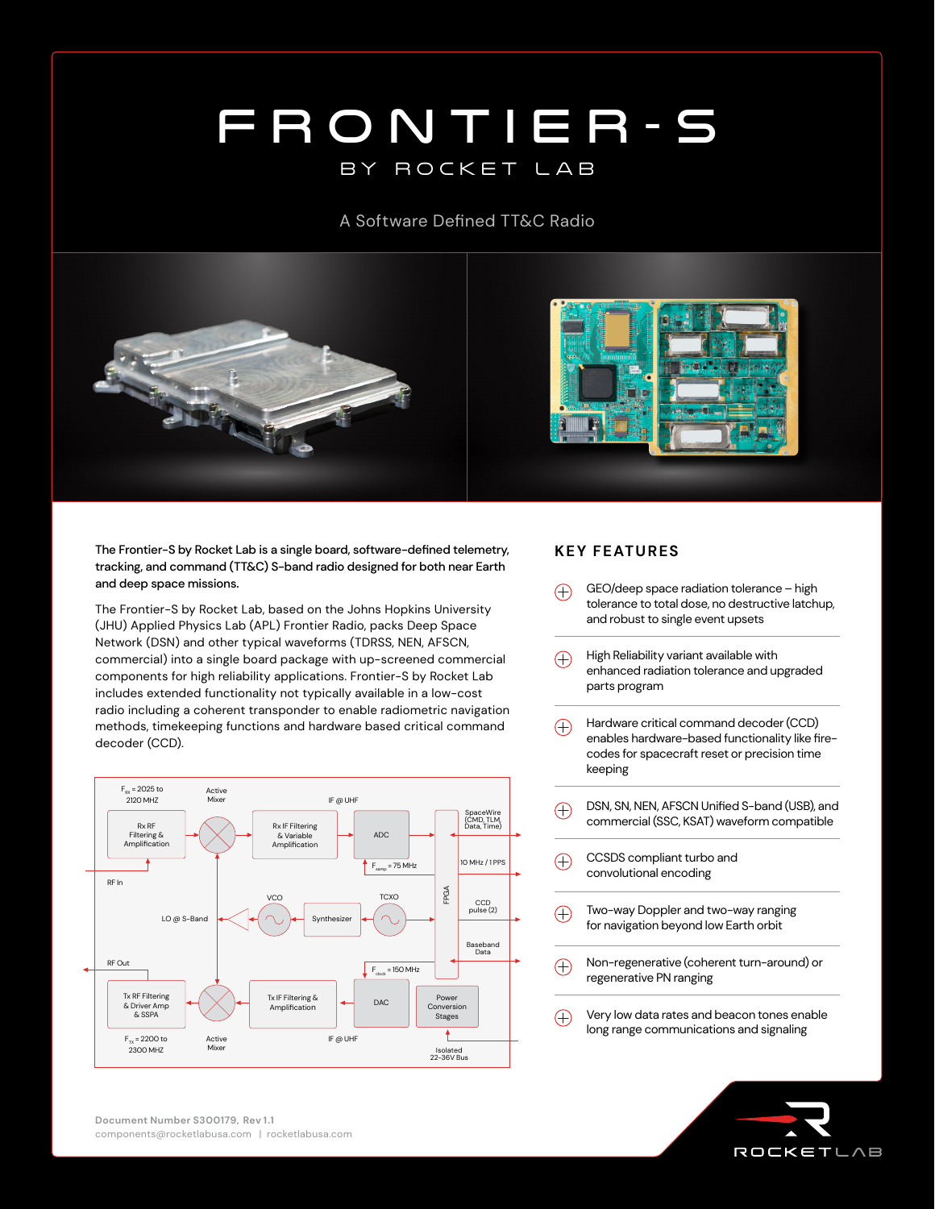## FRONTIER-S by rocket lab

## A Software Defined TT&C Radio



The Frontier-S by Rocket Lab is a single board, software-defined telemetry, tracking, and command (TT&C) S-band radio designed for both near Earth and deep space missions.

The Frontier-S by Rocket Lab, based on the Johns Hopkins University (JHU) Applied Physics Lab (APL) Frontier Radio, packs Deep Space Network (DSN) and other typical waveforms (TDRSS, NEN, AFSCN, commercial) into a single board package with up-screened commercial components for high reliability applications. Frontier-S by Rocket Lab includes extended functionality not typically available in a low-cost radio including a coherent transponder to enable radiometric navigation methods, timekeeping functions and hardware based critical command decoder (CCD).



## **KEY FEATURES**

- GEO/deep space radiation tolerance high  $(+)$ tolerance to total dose, no destructive latchup, and robust to single event upsets
- High Reliability variant available with  $\bigoplus$ enhanced radiation tolerance and upgraded parts program
- Hardware critical command decoder (CCD)  $\bigoplus$ enables hardware-based functionality like firecodes for spacecraft reset or precision time keeping
- DSN, SN, NEN, AFSCN Unified S-band (USB), and  $\bigoplus$ commercial (SSC, KSAT) waveform compatible
- $\bigoplus$ CCSDS compliant turbo and convolutional encoding
- Two-way Doppler and two-way ranging  $\bigoplus$ for navigation beyond low Earth orbit
- Non-regenerative (coherent turn-around) or  $\bigoplus$ regenerative PN ranging
- Very low data rates and beacon tones enable  $\bigoplus$ long range communications and signaling